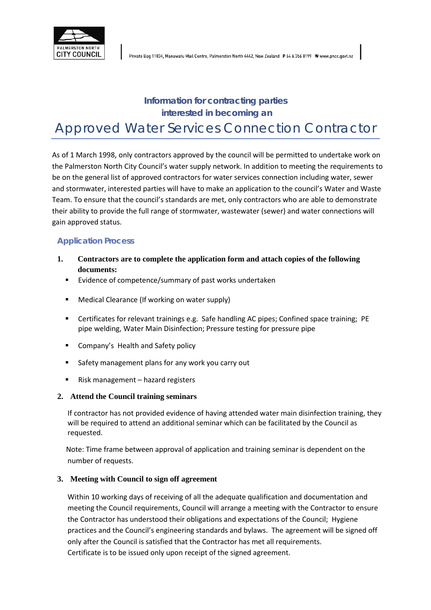

# **Information for contracting parties interested in becoming an** Approved Water Services Connection Contractor

As of 1 March 1998, only contractors approved by the council will be permitted to undertake work on the Palmerston North City Council's water supply network. In addition to meeting the requirements to be on the general list of approved contractors for water services connection including water, sewer and stormwater, interested parties will have to make an application to the council's Water and Waste Team. To ensure that the council's standards are met, only contractors who are able to demonstrate their ability to provide the full range of stormwater, wastewater (sewer) and water connections will gain approved status.

#### **Application Process**

- **1. Contractors are to complete the application form and attach copies of the following documents:**
	- **Evidence of competence/summary of past works undertaken**
	- Medical Clearance (If working on water supply)
	- Certificates for relevant trainings e.g. Safe handling AC pipes; Confined space training; PE pipe welding, Water Main Disinfection; Pressure testing for pressure pipe
	- Company's Health and Safety policy
	- **Safety management plans for any work you carry out**
	- Risk management hazard registers

#### **2. Attend the Council training seminars**

If contractor has not provided evidence of having attended water main disinfection training, they will be required to attend an additional seminar which can be facilitated by the Council as requested.

Note: Time frame between approval of application and training seminar is dependent on the number of requests.

#### **3. Meeting with Council to sign off agreement**

Within 10 working days of receiving of all the adequate qualification and documentation and meeting the Council requirements, Council will arrange a meeting with the Contractor to ensure the Contractor has understood their obligations and expectations of the Council; Hygiene practices and the Council's engineering standards and bylaws. The agreement will be signed off only after the Council is satisfied that the Contractor has met all requirements. Certificate is to be issued only upon receipt of the signed agreement.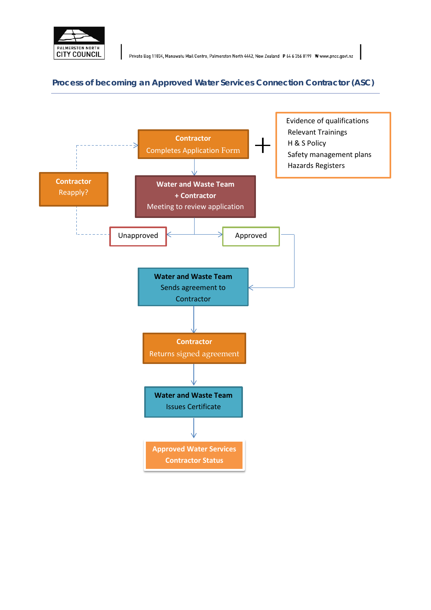

#### **Process of becoming an Approved Water Services Connection Contractor (ASC)**

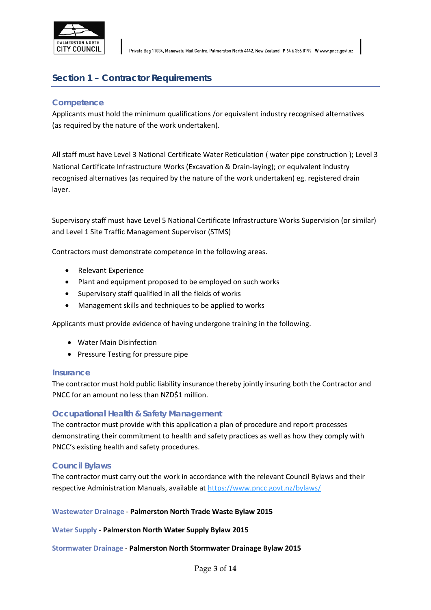

Private Bag 11034, Manawatu Mail Centre, Palmerston North 4442, New Zealand P 64 6 356 8199 W www.pncc.govt.nz

# **Section 1 – Contractor Requirements**

#### **Competence**

Applicants must hold the minimum qualifications /or equivalent industry recognised alternatives (as required by the nature of the work undertaken).

All staff must have Level 3 National Certificate Water Reticulation ( water pipe construction ); Level 3 National Certificate Infrastructure Works (Excavation & Drain-laying); or equivalent industry recognised alternatives (as required by the nature of the work undertaken) eg. registered drain layer.

Supervisory staff must have Level 5 National Certificate Infrastructure Works Supervision (or similar) and Level 1 Site Traffic Management Supervisor (STMS)

Contractors must demonstrate competence in the following areas.

- Relevant Experience
- Plant and equipment proposed to be employed on such works
- Supervisory staff qualified in all the fields of works
- Management skills and techniques to be applied to works

Applicants must provide evidence of having undergone training in the following.

- Water Main Disinfection
- Pressure Testing for pressure pipe

#### **Insurance**

The contractor must hold public liability insurance thereby jointly insuring both the Contractor and PNCC for an amount no less than NZD\$1 million.

#### **Occupational Health & Safety Management**

The contractor must provide with this application a plan of procedure and report processes demonstrating their commitment to health and safety practices as well as how they comply with PNCC's existing health and safety procedures.

#### **Council Bylaws**

The contractor must carry out the work in accordance with the relevant Council Bylaws and their respective Administration Manuals, available at https://www.pncc.govt.nz/bylaws/

#### **Wastewater Drainage** - **Palmerston North Trade Waste Bylaw 2015**

**Water Supply** - **Palmerston North Water Supply Bylaw 2015** 

#### **Stormwater Drainage** - **Palmerston North Stormwater Drainage Bylaw 2015**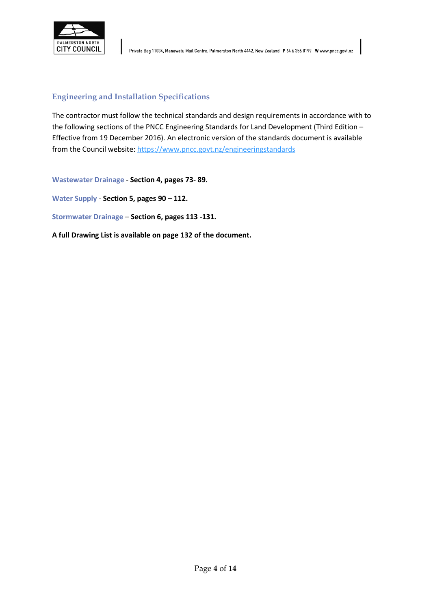

#### **Engineering and Installation Specifications**

The contractor must follow the technical standards and design requirements in accordance with to the following sections of the PNCC Engineering Standards for Land Development (Third Edition – Effective from 19 December 2016). An electronic version of the standards document is available from the Council website: https://www.pncc.govt.nz/engineeringstandards

**Wastewater Drainage** - **Section 4, pages 73- 89.**

**Water Supply** - **Section 5, pages 90 – 112.** 

**Stormwater Drainage** – **Section 6, pages 113 -131.**

**A full Drawing List is available on page 132 of the document.**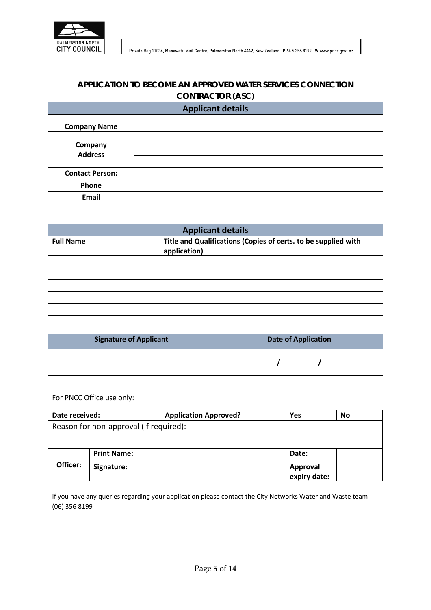

# **APPLICATION TO BECOME AN APPROVED WATER SERVICES CONNECTION CONTRACTOR (ASC)**

**Applicant details**

| <b>Company Name</b>              |  |  |  |
|----------------------------------|--|--|--|
| <b>Company</b><br><b>Address</b> |  |  |  |
|                                  |  |  |  |
| <b>Contact Person:</b>           |  |  |  |
| Phone                            |  |  |  |
| Email                            |  |  |  |

| <b>Applicant details</b> |                                                                                |  |  |  |
|--------------------------|--------------------------------------------------------------------------------|--|--|--|
| <b>Full Name</b>         | Title and Qualifications (Copies of certs. to be supplied with<br>application) |  |  |  |
|                          |                                                                                |  |  |  |
|                          |                                                                                |  |  |  |
|                          |                                                                                |  |  |  |
|                          |                                                                                |  |  |  |
|                          |                                                                                |  |  |  |

| <b>Signature of Applicant</b> | <b>Date of Application</b> |  |  |
|-------------------------------|----------------------------|--|--|
|                               |                            |  |  |

For PNCC Office use only:

| Date received:                         |                    | <b>Application Approved?</b> | Yes             | No |  |
|----------------------------------------|--------------------|------------------------------|-----------------|----|--|
| Reason for non-approval (If required): |                    |                              |                 |    |  |
|                                        |                    |                              |                 |    |  |
|                                        | <b>Print Name:</b> |                              | Date:           |    |  |
| Officer:                               | Signature:         |                              | <b>Approval</b> |    |  |
|                                        |                    |                              | expiry date:    |    |  |

If you have any queries regarding your application please contact the City Networks Water and Waste team - (06) 356 8199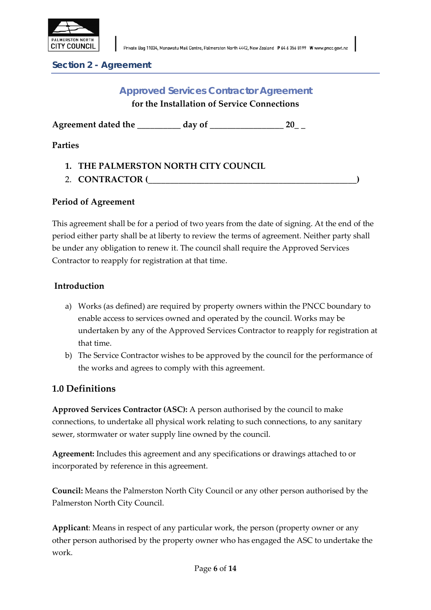

**Section 2 - Agreement**

# **Approved Services Contractor Agreement for the Installation of Service Connections**

Agreement dated the **day of**  $20$ 

**Parties** 

- **1. THE PALMERSTON NORTH CITY COUNCIL**
- 2. **CONTRACTOR (\_\_\_\_\_\_\_\_\_\_\_\_\_\_\_\_\_\_\_\_\_\_\_\_\_\_\_\_\_\_\_\_\_\_\_\_\_\_\_\_\_\_\_\_\_\_\_\_)**

## **Period of Agreement**

This agreement shall be for a period of two years from the date of signing. At the end of the period either party shall be at liberty to review the terms of agreement. Neither party shall be under any obligation to renew it. The council shall require the Approved Services Contractor to reapply for registration at that time.

## **Introduction**

- a) Works (as defined) are required by property owners within the PNCC boundary to enable access to services owned and operated by the council. Works may be undertaken by any of the Approved Services Contractor to reapply for registration at that time.
- b) The Service Contractor wishes to be approved by the council for the performance of the works and agrees to comply with this agreement.

# **1.0 Definitions**

**Approved Services Contractor (ASC):** A person authorised by the council to make connections, to undertake all physical work relating to such connections, to any sanitary sewer, stormwater or water supply line owned by the council.

**Agreement:** Includes this agreement and any specifications or drawings attached to or incorporated by reference in this agreement.

**Council:** Means the Palmerston North City Council or any other person authorised by the Palmerston North City Council.

**Applicant**: Means in respect of any particular work, the person (property owner or any other person authorised by the property owner who has engaged the ASC to undertake the work.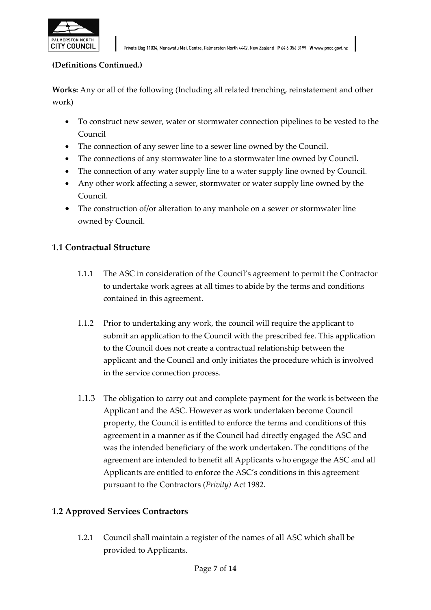

#### **(Definitions Continued.)**

**Works:** Any or all of the following (Including all related trenching, reinstatement and other work)

- To construct new sewer, water or stormwater connection pipelines to be vested to the Council
- The connection of any sewer line to a sewer line owned by the Council.
- The connections of any stormwater line to a stormwater line owned by Council.
- The connection of any water supply line to a water supply line owned by Council.
- Any other work affecting a sewer, stormwater or water supply line owned by the Council.
- The construction of/or alteration to any manhole on a sewer or stormwater line owned by Council.

## **1.1 Contractual Structure**

- 1.1.1 The ASC in consideration of the Council's agreement to permit the Contractor to undertake work agrees at all times to abide by the terms and conditions contained in this agreement.
- 1.1.2 Prior to undertaking any work, the council will require the applicant to submit an application to the Council with the prescribed fee. This application to the Council does not create a contractual relationship between the applicant and the Council and only initiates the procedure which is involved in the service connection process.
- 1.1.3 The obligation to carry out and complete payment for the work is between the Applicant and the ASC. However as work undertaken become Council property, the Council is entitled to enforce the terms and conditions of this agreement in a manner as if the Council had directly engaged the ASC and was the intended beneficiary of the work undertaken. The conditions of the agreement are intended to benefit all Applicants who engage the ASC and all Applicants are entitled to enforce the ASC's conditions in this agreement pursuant to the Contractors (*Privity)* Act 1982.

## **1.2 Approved Services Contractors**

1.2.1 Council shall maintain a register of the names of all ASC which shall be provided to Applicants.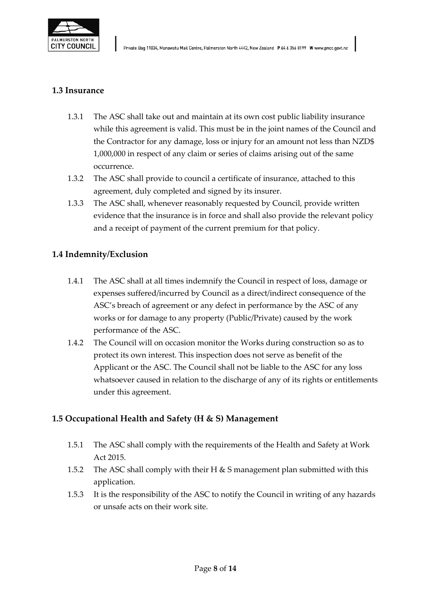

## **1.3 Insurance**

- 1.3.1 The ASC shall take out and maintain at its own cost public liability insurance while this agreement is valid. This must be in the joint names of the Council and the Contractor for any damage, loss or injury for an amount not less than NZD\$ 1,000,000 in respect of any claim or series of claims arising out of the same occurrence.
- 1.3.2 The ASC shall provide to council a certificate of insurance, attached to this agreement, duly completed and signed by its insurer.
- 1.3.3 The ASC shall, whenever reasonably requested by Council, provide written evidence that the insurance is in force and shall also provide the relevant policy and a receipt of payment of the current premium for that policy.

## **1.4 Indemnity/Exclusion**

- 1.4.1 The ASC shall at all times indemnify the Council in respect of loss, damage or expenses suffered/incurred by Council as a direct/indirect consequence of the ASC's breach of agreement or any defect in performance by the ASC of any works or for damage to any property (Public/Private) caused by the work performance of the ASC.
- 1.4.2 The Council will on occasion monitor the Works during construction so as to protect its own interest. This inspection does not serve as benefit of the Applicant or the ASC. The Council shall not be liable to the ASC for any loss whatsoever caused in relation to the discharge of any of its rights or entitlements under this agreement.

## **1.5 Occupational Health and Safety (H & S) Management**

- 1.5.1 The ASC shall comply with the requirements of the Health and Safety at Work Act 2015.
- 1.5.2 The ASC shall comply with their H & S management plan submitted with this application.
- 1.5.3 It is the responsibility of the ASC to notify the Council in writing of any hazards or unsafe acts on their work site.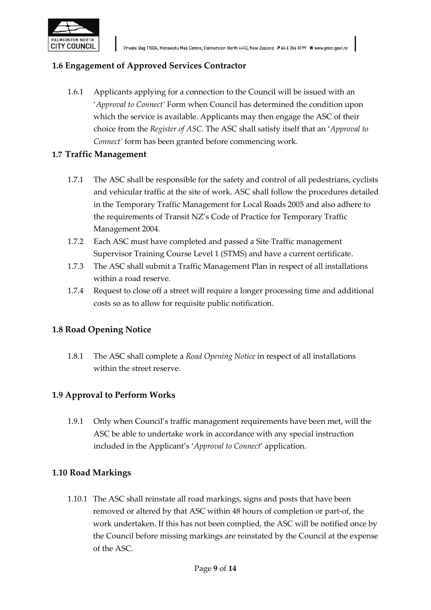

## **1.6 Engagement of Approved Services Contractor**

1.6.1 Applicants applying for a connection to the Council will be issued with an '*Approval to Connect'* Form when Council has determined the condition upon which the service is available. Applicants may then engage the ASC of their choice from the *Register of ASC.* The ASC shall satisfy itself that an '*Approval to Connect'* form has been granted before commencing work.

## **1.7 Traffic Management**

- 1.7.1 The ASC shall be responsible for the safety and control of all pedestrians, cyclists and vehicular traffic at the site of work. ASC shall follow the procedures detailed in the Temporary Traffic Management for Local Roads 2005 and also adhere to the requirements of Transit NZ's Code of Practice for Temporary Traffic Management 2004.
- 1.7.2 Each ASC must have completed and passed a Site Traffic management Supervisor Training Course Level 1 (STMS) and have a current certificate.
- 1.7.3 The ASC shall submit a Traffic Management Plan in respect of all installations within a road reserve.
- 1.7.4 Request to close off a street will require a longer processing time and additional costs so as to allow for requisite public notification.

## **1.8 Road Opening Notice**

1.8.1 The ASC shall complete a *Road Opening Notice* in respect of all installations within the street reserve.

## **1.9 Approval to Perform Works**

1.9.1 Only when Council's traffic management requirements have been met, will the ASC be able to undertake work in accordance with any special instruction included in the Applicant's '*Approval to Connect*' application.

## **1.10 Road Markings**

1.10.1 The ASC shall reinstate all road markings, signs and posts that have been removed or altered by that ASC within 48 hours of completion or part-of, the work undertaken. If this has not been complied, the ASC will be notified once by the Council before missing markings are reinstated by the Council at the expense of the ASC.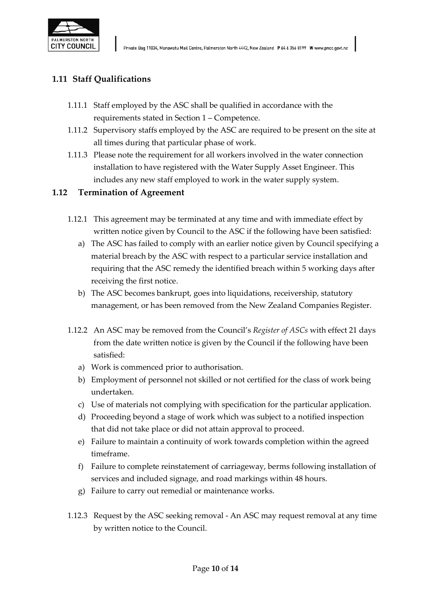

# **1.11 Staff Qualifications**

- 1.11.1 Staff employed by the ASC shall be qualified in accordance with the requirements stated in Section 1 – Competence.
- 1.11.2 Supervisory staffs employed by the ASC are required to be present on the site at all times during that particular phase of work.
- 1.11.3 Please note the requirement for all workers involved in the water connection installation to have registered with the Water Supply Asset Engineer. This includes any new staff employed to work in the water supply system.

## **1.12 Termination of Agreement**

- 1.12.1 This agreement may be terminated at any time and with immediate effect by written notice given by Council to the ASC if the following have been satisfied:
	- a) The ASC has failed to comply with an earlier notice given by Council specifying a material breach by the ASC with respect to a particular service installation and requiring that the ASC remedy the identified breach within 5 working days after receiving the first notice.
	- b) The ASC becomes bankrupt, goes into liquidations, receivership, statutory management, or has been removed from the New Zealand Companies Register.
- 1.12.2 An ASC may be removed from the Council's *Register of ASCs* with effect 21 days from the date written notice is given by the Council if the following have been satisfied:
	- a) Work is commenced prior to authorisation.
	- b) Employment of personnel not skilled or not certified for the class of work being undertaken.
	- c) Use of materials not complying with specification for the particular application.
	- d) Proceeding beyond a stage of work which was subject to a notified inspection that did not take place or did not attain approval to proceed.
	- e) Failure to maintain a continuity of work towards completion within the agreed timeframe.
	- f) Failure to complete reinstatement of carriageway, berms following installation of services and included signage, and road markings within 48 hours.
	- g) Failure to carry out remedial or maintenance works.
- 1.12.3 Request by the ASC seeking removal An ASC may request removal at any time by written notice to the Council.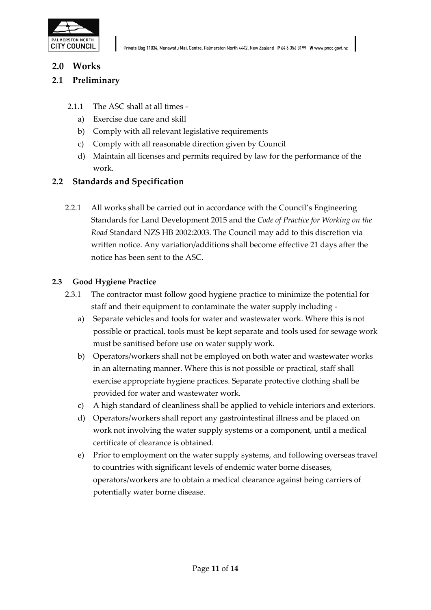

## **2.0 Works**

## **2.1 Preliminary**

- 2.1.1 The ASC shall at all times
	- a) Exercise due care and skill
	- b) Comply with all relevant legislative requirements
	- c) Comply with all reasonable direction given by Council
	- d) Maintain all licenses and permits required by law for the performance of the work.

## **2.2 Standards and Specification**

2.2.1 All works shall be carried out in accordance with the Council's Engineering Standards for Land Development 2015 and the *Code of Practice for Working on the Road* Standard NZS HB 2002:2003. The Council may add to this discretion via written notice. Any variation/additions shall become effective 21 days after the notice has been sent to the ASC.

#### **2.3 Good Hygiene Practice**

- 2.3.1 The contractor must follow good hygiene practice to minimize the potential for staff and their equipment to contaminate the water supply including
	- a) Separate vehicles and tools for water and wastewater work. Where this is not possible or practical, tools must be kept separate and tools used for sewage work must be sanitised before use on water supply work.
	- b) Operators/workers shall not be employed on both water and wastewater works in an alternating manner. Where this is not possible or practical, staff shall exercise appropriate hygiene practices. Separate protective clothing shall be provided for water and wastewater work.
	- c) A high standard of cleanliness shall be applied to vehicle interiors and exteriors.
	- d) Operators/workers shall report any gastrointestinal illness and be placed on work not involving the water supply systems or a component, until a medical certificate of clearance is obtained.
	- e) Prior to employment on the water supply systems, and following overseas travel to countries with significant levels of endemic water borne diseases, operators/workers are to obtain a medical clearance against being carriers of potentially water borne disease.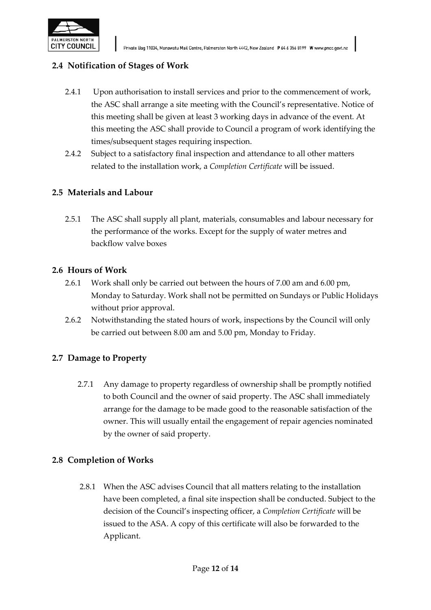

# **2.4 Notification of Stages of Work**

- 2.4.1 Upon authorisation to install services and prior to the commencement of work, the ASC shall arrange a site meeting with the Council's representative. Notice of this meeting shall be given at least 3 working days in advance of the event. At this meeting the ASC shall provide to Council a program of work identifying the times/subsequent stages requiring inspection.
- 2.4.2 Subject to a satisfactory final inspection and attendance to all other matters related to the installation work, a *Completion Certificate* will be issued.

## **2.5 Materials and Labour**

2.5.1 The ASC shall supply all plant, materials, consumables and labour necessary for the performance of the works. Except for the supply of water metres and backflow valve boxes

## **2.6 Hours of Work**

- 2.6.1 Work shall only be carried out between the hours of 7.00 am and 6.00 pm, Monday to Saturday. Work shall not be permitted on Sundays or Public Holidays without prior approval.
- 2.6.2 Notwithstanding the stated hours of work, inspections by the Council will only be carried out between 8.00 am and 5.00 pm, Monday to Friday.

## **2.7 Damage to Property**

2.7.1 Any damage to property regardless of ownership shall be promptly notified to both Council and the owner of said property. The ASC shall immediately arrange for the damage to be made good to the reasonable satisfaction of the owner. This will usually entail the engagement of repair agencies nominated by the owner of said property.

## **2.8 Completion of Works**

2.8.1 When the ASC advises Council that all matters relating to the installation have been completed, a final site inspection shall be conducted. Subject to the decision of the Council's inspecting officer, a *Completion Certificate* will be issued to the ASA. A copy of this certificate will also be forwarded to the Applicant.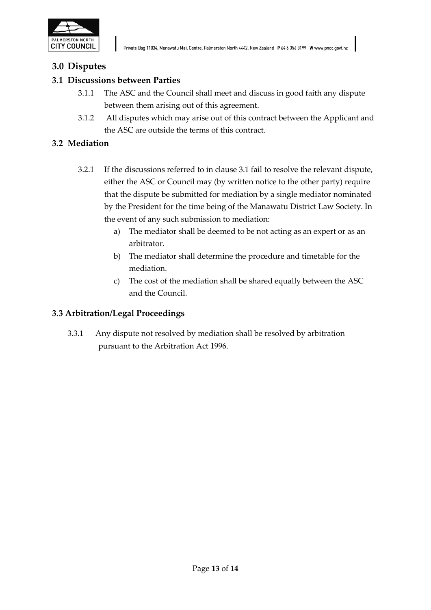

# **3.0 Disputes**

## **3.1 Discussions between Parties**

- 3.1.1 The ASC and the Council shall meet and discuss in good faith any dispute between them arising out of this agreement.
- 3.1.2 All disputes which may arise out of this contract between the Applicant and the ASC are outside the terms of this contract.

## **3.2 Mediation**

- 3.2.1 If the discussions referred to in clause 3.1 fail to resolve the relevant dispute, either the ASC or Council may (by written notice to the other party) require that the dispute be submitted for mediation by a single mediator nominated by the President for the time being of the Manawatu District Law Society*.* In the event of any such submission to mediation:
	- a) The mediator shall be deemed to be not acting as an expert or as an arbitrator.
	- b) The mediator shall determine the procedure and timetable for the mediation.
	- c) The cost of the mediation shall be shared equally between the ASC and the Council.

## **3.3 Arbitration/Legal Proceedings**

3.3.1 Any dispute not resolved by mediation shall be resolved by arbitration pursuant to the Arbitration Act 1996.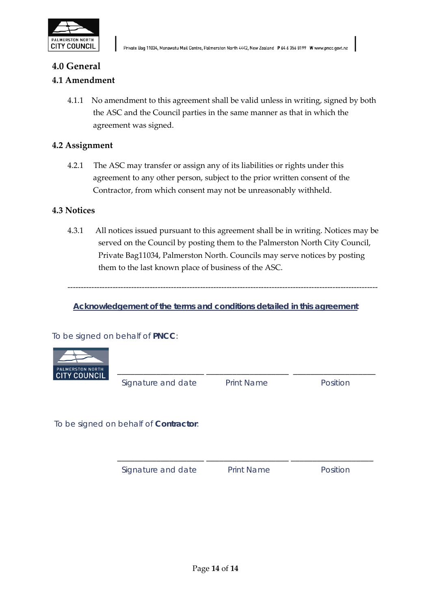

#### **4.0 General**

#### **4.1 Amendment**

4.1.1 No amendment to this agreement shall be valid unless in writing, signed by both the ASC and the Council parties in the same manner as that in which the agreement was signed.

#### **4.2 Assignment**

4.2.1 The ASC may transfer or assign any of its liabilities or rights under this agreement to any other person, subject to the prior written consent of the Contractor, from which consent may not be unreasonably withheld.

#### **4.3 Notices**

4.3.1 All notices issued pursuant to this agreement shall be in writing. Notices may be served on the Council by posting them to the Palmerston North City Council, Private Bag11034, Palmerston North. Councils may serve notices by posting them to the last known place of business of the ASC.

---------------------------------------------------------------------------------------------------------------------

**Acknowledgement of the terms and conditions detailed in this agreement**

To be signed on behalf of **PNCC**:



**Signature and date** Print Name Position

To be signed on behalf of **Contractor**:

**Signature and date Print Name Position** 

 **\_\_\_\_\_\_\_\_\_\_\_\_\_\_\_\_\_\_\_\_ \_\_\_\_\_\_\_\_\_\_\_\_\_\_\_\_\_\_\_ \_\_\_\_\_\_\_\_\_\_\_\_\_\_\_\_\_\_\_**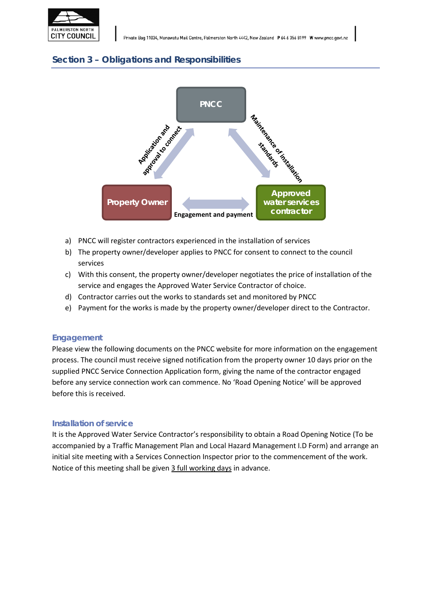





- a) PNCC will register contractors experienced in the installation of services
- b) The property owner/developer applies to PNCC for consent to connect to the council services
- c) With this consent, the property owner/developer negotiates the price of installation of the service and engages the Approved Water Service Contractor of choice.
- d) Contractor carries out the works to standards set and monitored by PNCC
- e) Payment for the works is made by the property owner/developer direct to the Contractor.

#### **Engagement**

Please view the following documents on the PNCC website for more information on the engagement process. The council must receive signed notification from the property owner 10 days prior on the supplied PNCC Service Connection Application form, giving the name of the contractor engaged before any service connection work can commence. No 'Road Opening Notice' will be approved before this is received.

#### **Installation of service**

It is the Approved Water Service Contractor's responsibility to obtain a Road Opening Notice (To be accompanied by a Traffic Management Plan and Local Hazard Management I.D Form) and arrange an initial site meeting with a Services Connection Inspector prior to the commencement of the work. Notice of this meeting shall be given 3 full working days in advance.